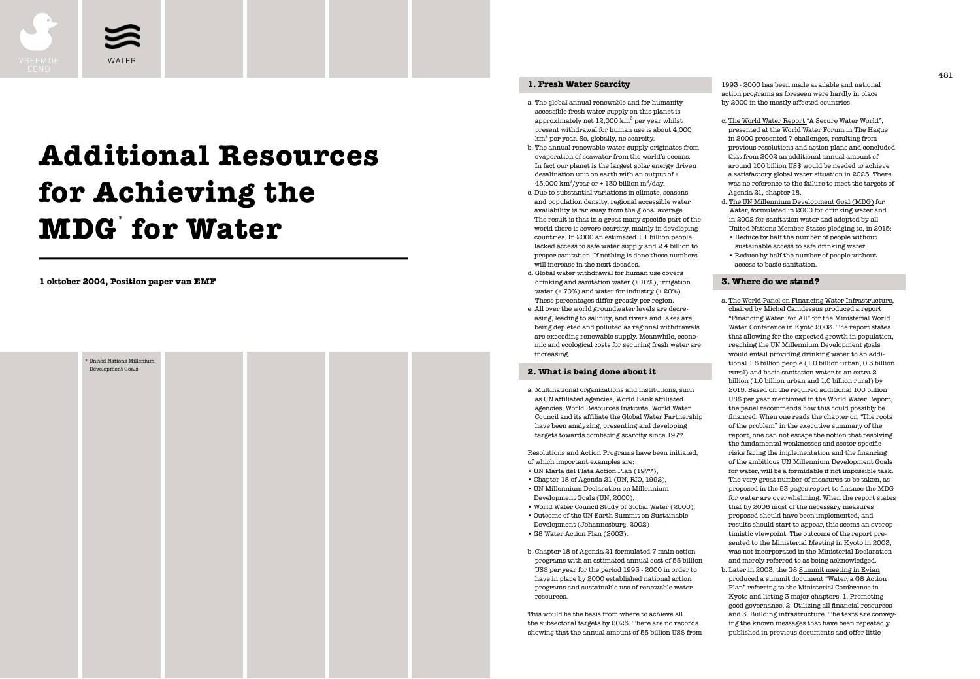**1 oktober 2004, Position paper van EMF**



# **Additional Resources for Achieving the MDG**\*  **for Water**

### **1. Fresh Water Scarcity**

- a. The global annual renewable and for humanity accessible fresh water supply on this planet is approximately net  $12,000 \mathrm{~km}^3$  per year whilst present withdrawal for human use is about 4,000 km<sup>3</sup> per year. So, globally, no scarcity.
- b. The annual renewable water supply originates from evaporation of seawater from the world's oceans. In fact our planet is the largest solar energy driven desalination unit on earth with an output of + 45,000 km $^3$ /year or + 130 billion m $^3$ /day.
- c. Due to substantial variations in climate, seasons and population density, regional accessible water availability is far away from the global average. The result is that in a great many specific part of the world there is severe scarcity, mainly in developing countries. In 2000 an estimated 1.1 billion people lacked access to safe water supply and 2.4 billion to proper sanitation. If nothing is done these numbers will increase in the next decades.
- d. Global water withdrawal for human use covers drinking and sanitation water (+ 10%), irrigation water (+ 70%) and water for industry (+ 20%). These percentages differ greatly per region. e. All over the world groundwater levels are decreasing, leading to salinity, and rivers and lakes are
- being depleted and polluted as regional withdrawals are exceeding renewable supply. Meanwhile, economic and ecological costs for securing fresh water are increasing.



### **2. What is being done about it**

a. Multinational organizations and institutions, such as UN affiliated agencies, World Bank affiliated agencies, World Resources Institute, World Water Council and its affiliate the Global Water Partnership have been analyzing, presenting and developing targets towards combating scarcity since 1977.

- Development Goals (UN, 2000), • World Water Council Study of Global Water (2000), • Outcome of the UN Earth Summit on Sustainable Development (Johannesburg, 2002) • G8 Water Action Plan (2003).
- Resolutions and Action Programs have been initiated, of which important examples are: • UN Marla del Plata Action Plan (1977), • Chapter 18 of Agenda 21 (UN, RIO, 1992), • UN Millennium Declaration on Millennium
- 
- 
- 
- b. Chapter 18 of Agenda 21 formulated 7 main action programs with an estimated annual cost of 55 billion US\$ per year for the period 1993 - 2000 in order to have in place by 2000 established national action programs and sustainable use of renewable water

This would be the basis from where to achieve all the subsectoral targets by 2025. There are no records showing that the annual amount of 55 billion US\$ from

1993 - 2000 has been made available and national action programs as foreseen were hardly in place by 2000 in the mostly affected countries.

- c. The World Water Report "A Secure Water World", presented at the World Water Forum in The Hague in 2000 presented 7 challenges, resulting from previous resolutions and action plans and concluded that from 2002 an additional annual amount of around 100 billion US\$ would be needed to achieve a satisfactory global water situation in 2025. There was no reference to the failure to meet the targets of Agenda 21, chapter 18.
- d. The UN Millennium Development Goal (MDG) for Water, formulated in 2000 for drinking water and in 2002 for sanitation water and adopted by all United Nations Member States pledging to, in 2015:
- Reduce by half the number of people without sustainable access to safe drinking water.
- Reduce by half the number of people without access to basic sanitation.

### **3. Where do we stand?**

- a. The World Panel on Financing Water Infrastructure, chaired by Michel Camdessus produced a report "Financing Water For All" for the Ministerial World Water Conference in Kyoto 2003. The report states that allowing for the expected growth in population, reaching the UN Millennium Development goals would entail providing drinking water to an additional 1.5 billion people (1.0 billion urban, 0.5 billion rural) and basic sanitation water to an extra 2 billion (1.0 billion urban and 1.0 billion rural) by 2015. Based on the required additional 100 billion US\$ per year mentioned in the World Water Report, the panel recommends how this could possibly be financed. When one reads the chapter on "The roots of the problem" in the executive summary of the report, one can not escape the notion that resolving the fundamental weaknesses and sector-specific risks facing the implementation and the financing of the ambitious UN Millennium Development Goals for water, will be a formidable if not impossible task. The very great number of measures to be taken, as proposed in the 53 pages report to finance the MDG for water are overwhelming. When the report states that by 2006 most of the necessary measures proposed should have been implemented, and results should start to appear, this seems an overoptimistic viewpoint. The outcome of the report presented to the Ministerial Meeting in Kyoto in 2003, was not incorporated in the Ministerial Declaration and merely referred to as being acknowledged.
- b. Later in 2003, the G8 Summit meeting in Evian produced a summit document "Water, a G8 Action Plan" referring to the Ministerial Conference in Kyoto and listing 3 major chapters: 1. Promoting good governance, 2. Utilizing all financial resources and 3. Building infrastructure. The texts are conveying the known messages that have been repeatedly published in previous documents and offer little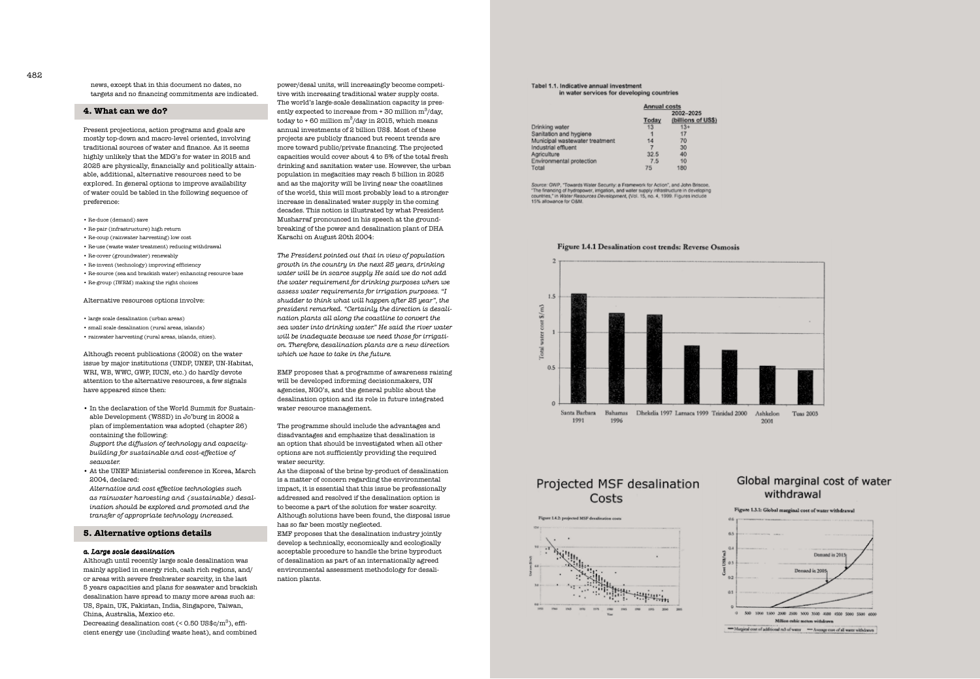power/desal units, will increasingly become competi tive with increasing traditional water supply costs. The world's large-scale desalination capacity is pres ently expected to increase from  $+ 30$  million  $m^3/day$ , today to  $+ 60$  million m<sup>3</sup>/day in 2015, which means annual investments of 2 billion US\$. Most of these projects are publicly financed but recent trends are more toward public/private financing. The projected capacities would cover about 4 to 5% of the total fresh drinking and sanitation water use. However, the urban population in megacities may reach 5 billion in 2025 and as the majority will be living near the coastlines of the world, this will most probably lead to a stronger increase in desalinated water supply in the coming decades. This notion is illustrated by what President Musharraf pronounced in his speech at the ground breaking of the power and desalination plant of DHA Karachi on August 20th 2004:

*The President pointed out that in view of population growth in the country in the next 25 years, drinking water will be in scarce supply. He said we do not add the water requirement for drinking purposes when we assess water requirements for irrigation purposes. "I shudder to think what will happen after 25 year", the president remarked. ''Certainly, the direction is desali nation plants all along the coastline to convert the sea water into drinking water." He said the river water will be inadequate because we need those for irrigati on. Therefore, desalination plants are a new direction which we have to take in the future.*

EMF proposes that a programme of awareness raising will be developed informing decisionmakers, UN agencies, NGO's, and the general public about the desalination option and its role in future integrated water resource management.

The programme should include the advantages and disadvantages and emphasize that desalination is an option that should be investigated when all other options are not sufficiently providing the required water security.

As the disposal of the brine by-product of desalination is a matter of concern regarding the environmental impact, it is essential that this issue be professionally addressed and resolved if the desalination option is to become a part of the solution for water scarcity. Although solutions have been found, the disposal issue has so far been mostly neglected.

Decreasing desalination cost (<  $0.50 \, \mathrm{US\$ mathfrak{g}} c/\mathrm{m}^3) , efficient energy use (including waste heat), and combined

EMF proposes that the desalination industry jointly develop a technically, economically and ecologically acceptable procedure to handle the brine byproduct of desalination as part of an internationally agreed environmental assessment methodology for desali nation plants.

## Tabel 1.1. Indicative annual investment

Drinking water Sanitation and hygiene Municipal wastewater trea Industrial effluent Agriculture Environmental protection Total

15% allowance for O&M.









# in water services for developing countries

|        | Annual costs |                                |
|--------|--------------|--------------------------------|
|        |              | 2002-2025<br>(billions of USS) |
|        | Today<br>13  | $13+$                          |
|        |              | 17                             |
| atment | 14           | 70                             |
|        |              | 30                             |
|        | 32.5         | 40                             |
|        | 7.5          | 10                             |
|        | 75           | 180                            |

Source: GWP, "Towards Water Security: a Framework for Action", and John Briscoe,<br>"The financing of hydropower, irrigation, and water supply infrastructure in developing<br>countries," in Water Resources Development, (Vol. 15,

### Figure 1.4.1 Desalination cost trends: Reverse Osmosis

# Projected MSF desalination Costs

### Global marginal cost of water withdrawal

Figure 1.3.1: Global marginal cost of water withdrawal



news, except that in this document no dates, no targets and no financing commitments are indicated.

### **4. What can we do?**

Present projections, action programs and goals are mostly top-down and macro-level oriented, involving traditional sources of water and finance. As it seems highly unlikely that the MDG's for water in 2015 and 2025 are physically, financially and politically attain able, additional, alternative resources need to be explored. In general options to improve availability of water could be tabled in the following sequence of preference:

- Re-duce (demand) save
- Re-pair (infrastructure) high return
- Re-coup (rainwater harvesting) low cost
- Re-use (waste water treatment) reducing withdrawal
- Re-cover (groundwater) renewably
- Re-invent (technology) improving efficiency
- Re-source (sea and brackish water) enhancing resource base
- Re-group (IWRM) making the right choices

### Alternative resources options involve:

- large scale desalination (urban areas)
- small scale desalination (rural areas, islands)
- rainwater harvesting (rural areas, islands, cities).

Although recent publications (2002) on the water issue by major institutions (UNDP, UNEP, UN-Habitat, WRI, WB, WWC, GWP, IUCN, etc.) do hardly devote attention to the alternative resources, a few signals have appeared since then:

- In the declaration of the World Summit for Sustain able Development (WSSD) in Jo'burg in 2002 a plan of implementation was adopted (chapter 26) containing the following: *Support the diffusion of technology and capacity building for sustainable and cost-effective of seawater.*
- At the UNEP Ministerial conference in Korea, March 2004, declared:

*Alternative and cost effective technologies such as rainwater harvesting and (sustainable) desal ination should be explored and promoted and the transfer of appropriate technology increased.*

### **5. Alternative options details**

### *a. Large scale desalination*

Although until recently large scale desalination was mainly applied in energy rich, cash rich regions, and/ or areas with severe freshwater scarcity, in the last 5 years capacities and plans for seawater and brackish desalination have spread to many more areas such as: US, Spain, UK, Pakistan, India, Singapore, Taiwan, China, Australia, Mexico etc.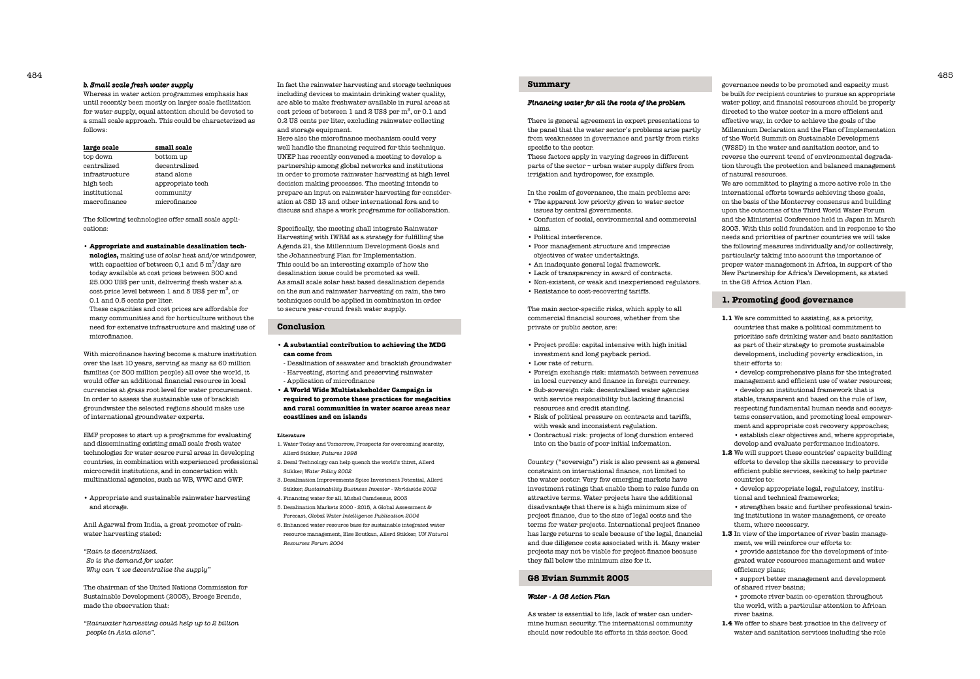In fact the rainwater harvesting and storage techniques including devices to maintain drinking water quality, are able to make freshwater available in rural areas at cost prices of between 1 and 2 US\$ per  $m^3$ , or 0.1 and 0.2 US cents per liter, excluding rainwater collecting and storage equipment.

Here also the microfinance mechanism could very well handle the financing required for this technique. UNEP has recently convened a meeting to develop a partnership among global networks and institutions in order to promote rainwater harvesting at high level decision making processes. The meeting intends to prepare an input on rainwater harvesting for consideration at CSD 13 and other international fora and to discuss and shape a work programme for collaboration.

Specifically, the meeting shall integrate Rainwater Harvesting with IWRM as a strategy for fulfilling the Agenda 21, the Millennium Development Goals and the Johannesburg Plan for Implementation. This could be an interesting example of how the desalination issue could be promoted as well. As small scale solar heat based desalination depends on the sun and rainwater harvesting on rain, the two techniques could be applied in combination in order to secure year-round fresh water supply.

### **Conclusion**

- **A substantial contribution to achieving the MDG can come from**
- Desalination of seawater and brackish groundwater - Harvesting, storing and preserving rainwater
- Application of microfinance
- **A World Wide Multistakeholder Campaign is required to promote these practices for megacities and rural communities in water scarce areas near coastlines and on islands**

### **Literature**

- 1. Water Today and Tomorrow, Prospects for overcoming scarcity, Allerd Stikker, *Futures 1998*
- 2. Desal Technology can help quench the world's thirst, Allerd Stikker, *Water Policy 2002*
- 3. Desalination Improvements Spice Investment Potential, Allerd Stikker, *Sustainability Business Investor - Worldwide 2002*
- 4. Financing water for all, Michel Camdessus, 2003
- 5. Desalination Markets 2000 2015, A Global Assessment & Forecast, *Global Water Intelligence Publication 2004*
- 6. Enhanced water resource base for sustainable integrated water resource management, Else Boutkan, Allerd Stikker, *UN Natural Resources Forum 2004*

### *b. Small scale fresh water supply*

Whereas in water action programmes emphasis has until recently been mostly on larger scale facilitation for water supply, equal attention should be devoted to a small scale approach. This could be characterized as follows:

| large scale    | small scale      |
|----------------|------------------|
| top down       | bottom up        |
| centralized    | decentralized    |
| infrastructure | stand alone      |
| high tech      | appropriate tech |
| institutional  | community        |
| macrofinance   | microfinance     |

The following technologies offer small scale applications:

- **Appropriate and sustainable desalination tech-**
- **nologies,** making use of solar heat and/or windpower, with capacities of between 0,1 and 5  $\mathrm{m}^3/\mathrm{day}$  are today available at cost prices between 500 and 25.000 US\$ per unit, delivering fresh water at a cost price level between 1 and 5 US\$ per  $\mathrm{m}^3, \mathrm{or}$ 0.1 and 0.5 cents per liter.

These capacities and cost prices are affordable for many communities and for horticulture without the need for extensive infrastructure and making use of microfinance.

With microfinance having become a mature institution over the last 10 years, serving as many as 60 million families (or 300 million people) all over the world, it would offer an additional financial resource in local currencies at grass root level for water procurement. In order to assess the sustainable use of brackish groundwater the selected regions should make use of international groundwater experts.

EMF proposes to start up a programme for evaluating and disseminating existing small scale fresh water technologies for water scarce rural areas in developing countries, in combination with experienced professional microcredit institutions, and in concertation with multinational agencies, such as WB, WWC and GWP.

• Appropriate and sustainable rainwater harvesting and storage.

Anil Agarwal from India, a great promoter of rainwater harvesting stated:

*"Rain is decentralised. So is the demand for water. Why can 't we decentralise the supply"*

The chairman of the United Nations Commission for Sustainable Development (2003), Broege Brende, made the observation that:

*"Rainwater harvesting could help up to 2 billion people in Asia alone".*

### **Summary**

### *Financing water for all the roots of the problem*

There is general agreement in expert presentations to the panel that the water sector's problems arise partly from weaknesses in governance and partly from risks specific to the sector. These factors apply in varying degrees in different parts of the sector – urban water supply differs from irrigation and hydropower, for example.

In the realm of governance, the main problems are: • The apparent low priority given to water sector issues by central governments.

• Confusion of social, environmental and commercial

- 
- aims. • Political interference.
- Poor management structure and imprecise objectives of water undertakings.
- An inadequate general legal framework.
- Lack of transparency in award of contracts.
- 
- 
- 
- 
- 
- Non-existent, or weak and inexperienced regulators. • Resistance to cost-recovering tariffs.
- The main sector-specific risks, which apply to all commercial financial sources, whether from the

private or public sector, are:

• Project profile: capital intensive with high initial

- investment and long payback period.
- Low rate of return. • Foreign exchange risk: mismatch between revenues in local currency and finance in foreign currency. • Sub-sovereign risk: decentralised water agencies with service responsibility but lacking financial resources and credit standing.
- 
- with weak and inconsistent regulation.
- 
- Risk of political pressure on contracts and tariffs,
- Contractual risk: projects of long duration entered into on the basis of poor initial information.

Country ("sovereign") risk is also present as a general constraint on international finance, not limited to the water sector. Very few emerging markets have investment ratings that enable them to raise funds on attractive terms. Water projects have the additional disadvantage that there is a high minimum size of project finance, due to the size of legal costs and the terms for water projects. International project finance has large returns to scale because of the legal, financial and due diligence costs associated with it. Many water projects may not be viable for project finance because they fall below the minimum size for it.

### **G8 Evian Summit 2003**

### *Water - A G8 Action Plan*

As water is essential to life, lack of water can undermine human security. The international community should now redouble its efforts in this sector. Good

governance needs to be promoted and capacity must be built for recipient countries to pursue an appropriate water policy, and financial resources should be properly directed to the water sector in a more efficient and effective way, in order to achieve the goals of the Millennium Declaration and the Plan of Implementation of the World Summit on Sustainable Development (WSSD) in the water and sanitation sector, and to reverse the current trend of environmental degradation through the protection and balanced management of natural resources.

We are committed to playing a more active role in the international efforts towards achieving these goals, on the basis of the Monterrey consensus and building upon the outcomes of the Third World Water Forum and the Ministerial Conference held in Japan in March 2003. With this solid foundation and in response to the needs and priorities of partner countries we will take the following measures individually and/or collectively, particularly taking into account the importance of proper water management in Africa, in support of the New Partnership for Africa's Development, as stated in the G8 Africa Action Plan.

### **1. Promoting good governance**

- **1.1** We are committed to assisting, as a priority, countries that make a political commitment to prioritise safe drinking water and basic sanitation as part of their strategy to promote sustainable development, including poverty eradication, in their efforts to:
	- develop comprehensive plans for the integrated management and efficient use of water resources; • develop an institutional framework that is stable, transparent and based on the rule of law, respecting fundamental human needs and ecosystems conservation, and promoting local empowerment and appropriate cost recovery approaches;
- establish clear objectives and, where appropriate, develop and evaluate performance indicators.
- **1.2** We will support these countries' capacity building efforts to develop the skills necessary to provide efficient public services, seeking to help partner countries to:

• develop appropriate legal, regulatory, institutional and technical frameworks;

• strengthen basic and further professional training institutions in water management, or create them, where necessary.

**1.3** In view of the importance of river basin management, we will reinforce our efforts to:

• provide assistance for the development of integrated water resources management and water efficiency plans;

- support better management and development of shared river basins;
- promote river basin co-operation throughout the world, with a particular attention to African river basins.
- **1.4** We offer to share best practice in the delivery of water and sanitation services including the role